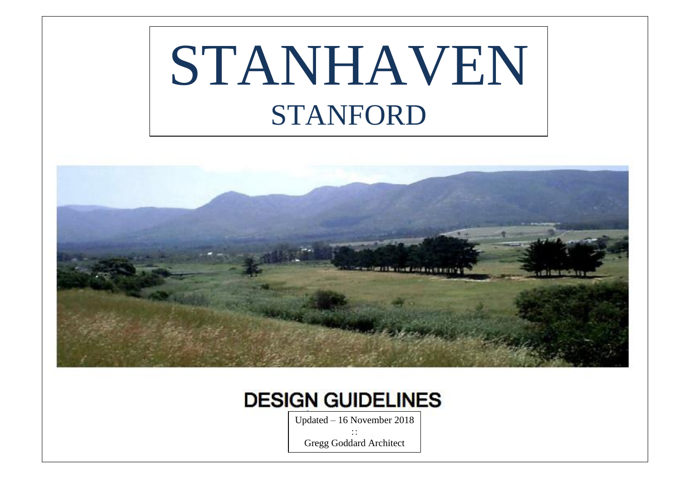# STANHAVEN STANFORD





Updated – 16 November 2018  $\vdots$ 

Gregg Goddard Architect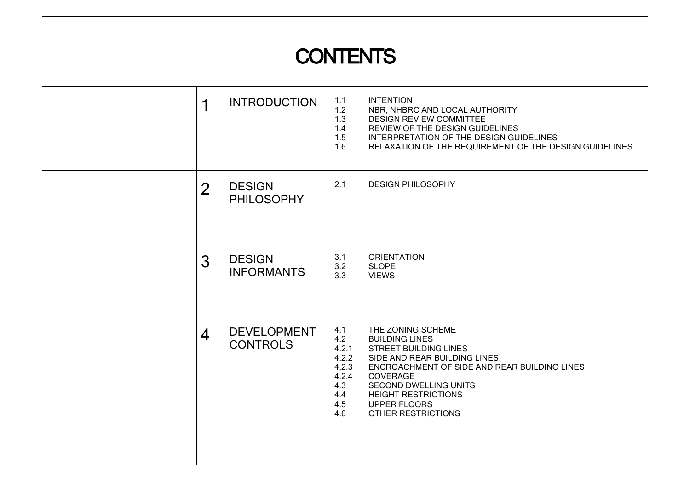# **CONTENTS**

| 1              | <b>INTRODUCTION</b>                   | 1.1<br>1.2<br>1.3<br>1.4<br>1.5<br>1.6                                     | <b>INTENTION</b><br>NBR, NHBRC AND LOCAL AUTHORITY<br><b>DESIGN REVIEW COMMITTEE</b><br>REVIEW OF THE DESIGN GUIDELINES<br>INTERPRETATION OF THE DESIGN GUIDELINES<br>RELAXATION OF THE REQUIREMENT OF THE DESIGN GUIDELINES                                                      |
|----------------|---------------------------------------|----------------------------------------------------------------------------|-----------------------------------------------------------------------------------------------------------------------------------------------------------------------------------------------------------------------------------------------------------------------------------|
| $\overline{2}$ | <b>DESIGN</b><br><b>PHILOSOPHY</b>    | 2.1                                                                        | <b>DESIGN PHILOSOPHY</b>                                                                                                                                                                                                                                                          |
| 3              | <b>DESIGN</b><br><b>INFORMANTS</b>    | 3.1<br>3.2<br>3.3                                                          | <b>ORIENTATION</b><br><b>SLOPE</b><br><b>VIEWS</b>                                                                                                                                                                                                                                |
| $\overline{4}$ | <b>DEVELOPMENT</b><br><b>CONTROLS</b> | 4.1<br>4.2<br>4.2.1<br>4.2.2<br>4.2.3<br>4.2.4<br>4.3<br>4.4<br>4.5<br>4.6 | THE ZONING SCHEME<br><b>BUILDING LINES</b><br><b>STREET BUILDING LINES</b><br>SIDE AND REAR BUILDING LINES<br>ENCROACHMENT OF SIDE AND REAR BUILDING LINES<br>COVERAGE<br><b>SECOND DWELLING UNITS</b><br><b>HEIGHT RESTRICTIONS</b><br><b>UPPER FLOORS</b><br>OTHER RESTRICTIONS |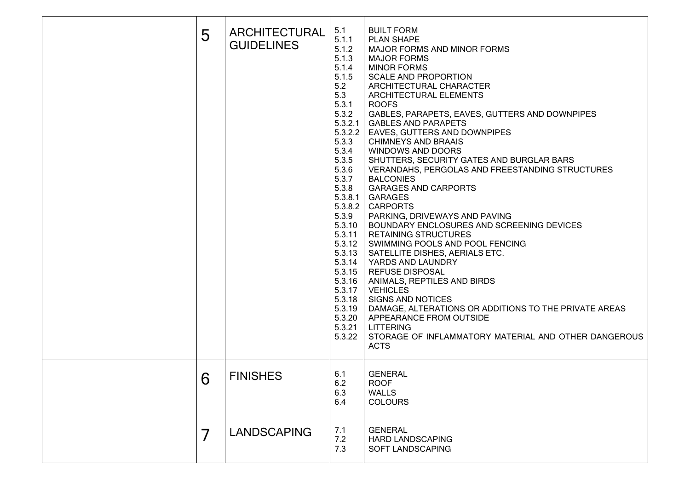| 5 | ARCHITECTURAL<br><b>GUIDELINES</b> | 5.1<br>5.1.1<br>5.1.2<br>5.1.3<br>5.1.4<br>5.1.5<br>5.2<br>5.3<br>5.3.1<br>5.3.2<br>5.3.2.1<br>5.3.2.2<br>5.3.3<br>5.3.4<br>5.3.5<br>5.3.6<br>5.3.7<br>5.3.8<br>5.3.8.1<br>5.3.8.2<br>5.3.9<br>5.3.10<br>5.3.11<br>5.3.12<br>5.3.13<br>5.3.14<br>5.3.15<br>5.3.16<br>5.3.17<br>5.3.18<br>5.3.19<br>5.3.20<br>5.3.21<br>5.3.22 | <b>BUILT FORM</b><br>PLAN SHAPE<br>MAJOR FORMS AND MINOR FORMS<br><b>MAJOR FORMS</b><br><b>MINOR FORMS</b><br><b>SCALE AND PROPORTION</b><br>ARCHITECTURAL CHARACTER<br>ARCHITECTURAL ELEMENTS<br><b>ROOFS</b><br>GABLES, PARAPETS, EAVES, GUTTERS AND DOWNPIPES<br><b>GABLES AND PARAPETS</b><br>EAVES, GUTTERS AND DOWNPIPES<br><b>CHIMNEYS AND BRAAIS</b><br><b>WINDOWS AND DOORS</b><br>SHUTTERS, SECURITY GATES AND BURGLAR BARS<br>VERANDAHS, PERGOLAS AND FREESTANDING STRUCTURES<br><b>BALCONIES</b><br><b>GARAGES AND CARPORTS</b><br><b>GARAGES</b><br><b>CARPORTS</b><br>PARKING, DRIVEWAYS AND PAVING<br>BOUNDARY ENCLOSURES AND SCREENING DEVICES<br><b>RETAINING STRUCTURES</b><br>SWIMMING POOLS AND POOL FENCING<br>SATELLITE DISHES, AERIALS ETC.<br>YARDS AND LAUNDRY<br><b>REFUSE DISPOSAL</b><br>ANIMALS, REPTILES AND BIRDS<br><b>VEHICLES</b><br><b>SIGNS AND NOTICES</b><br>DAMAGE, ALTERATIONS OR ADDITIONS TO THE PRIVATE AREAS<br>APPEARANCE FROM OUTSIDE<br><b>LITTERING</b><br>STORAGE OF INFLAMMATORY MATERIAL AND OTHER DANGEROUS<br><b>ACTS</b> |
|---|------------------------------------|-------------------------------------------------------------------------------------------------------------------------------------------------------------------------------------------------------------------------------------------------------------------------------------------------------------------------------|--------------------------------------------------------------------------------------------------------------------------------------------------------------------------------------------------------------------------------------------------------------------------------------------------------------------------------------------------------------------------------------------------------------------------------------------------------------------------------------------------------------------------------------------------------------------------------------------------------------------------------------------------------------------------------------------------------------------------------------------------------------------------------------------------------------------------------------------------------------------------------------------------------------------------------------------------------------------------------------------------------------------------------------------------------------------------------|
| 6 | <b>FINISHES</b>                    | 6.1<br>6.2<br>6.3<br>6.4                                                                                                                                                                                                                                                                                                      | <b>GENERAL</b><br><b>ROOF</b><br><b>WALLS</b><br><b>COLOURS</b>                                                                                                                                                                                                                                                                                                                                                                                                                                                                                                                                                                                                                                                                                                                                                                                                                                                                                                                                                                                                                |
| 7 | <b>LANDSCAPING</b>                 | 7.1<br>7.2<br>7.3                                                                                                                                                                                                                                                                                                             | <b>GENERAL</b><br><b>HARD LANDSCAPING</b><br>SOFT LANDSCAPING                                                                                                                                                                                                                                                                                                                                                                                                                                                                                                                                                                                                                                                                                                                                                                                                                                                                                                                                                                                                                  |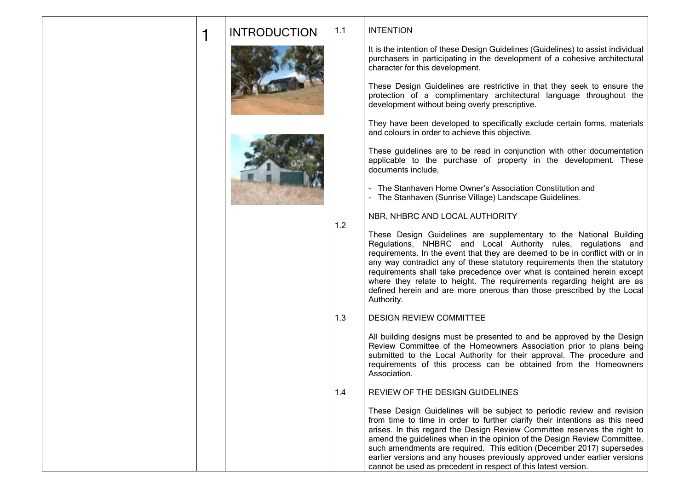|  | <b>INTRODUCTION</b> | 1.1 |
|--|---------------------|-----|
|  |                     |     |





1.2

INTENTION

It is the intention of these Design Guidelines (Guidelines) to assist individual purchasers in participating in the development of a cohesive architectural character for this development.

These Design Guidelines are restrictive in that they seek to ensure the protection of a complimentary architectural language throughout the development without being overly prescriptive.

They have been developed to specifically exclude certain forms, materials and colours in order to achieve this objective.

These guidelines are to be read in conjunction with other documentation applicable to the purchase of property in the development. These documents include,

- The Stanhaven Home Owner's Association Constitution and

- The Stanhaven (Sunrise Village) Landscape Guidelines.

NBR, NHBRC AND LOCAL AUTHORITY

These Design Guidelines are supplementary to the National Building Regulations, NHBRC and Local Authority rules, regulations and requirements. In the event that they are deemed to be in conflict with or in any way contradict any of these statutory requirements then the statutory requirements shall take precedence over what is contained herein except where they relate to height. The requirements regarding height are as defined herein and are more onerous than those prescribed by the Local Authority.

#### 1.3 DESIGN REVIEW COMMITTEE

All building designs must be presented to and be approved by the Design Review Committee of the Homeowners Association prior to plans being submitted to the Local Authority for their approval. The procedure and requirements of this process can be obtained from the Homeowners Association.

#### 1.4 REVIEW OF THE DESIGN GUIDELINES

These Design Guidelines will be subject to periodic review and revision from time to time in order to further clarify their intentions as this need arises. In this regard the Design Review Committee reserves the right to amend the guidelines when in the opinion of the Design Review Committee, such amendments are required. This edition (December 2017) supersedes earlier versions and any houses previously approved under earlier versions cannot be used as precedent in respect of this latest version.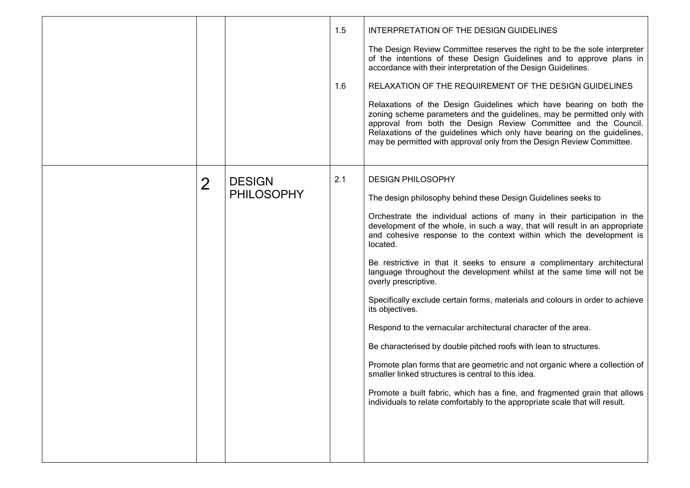|                |                                    | 1.5<br>1.6 | INTERPRETATION OF THE DESIGN GUIDELINES<br>The Design Review Committee reserves the right to be the sole interpreter<br>of the intentions of these Design Guidelines and to approve plans in<br>accordance with their interpretation of the Design Guidelines.<br>RELAXATION OF THE REQUIREMENT OF THE DESIGN GUIDELINES<br>Relaxations of the Design Guidelines which have bearing on both the<br>zoning scheme parameters and the guidelines, may be permitted only with<br>approval from both the Design Review Committee and the Council.<br>Relaxations of the guidelines which only have bearing on the guidelines,<br>may be permitted with approval only from the Design Review Committee.                                                                                                                                                                                                                                                                                                                                                                   |
|----------------|------------------------------------|------------|----------------------------------------------------------------------------------------------------------------------------------------------------------------------------------------------------------------------------------------------------------------------------------------------------------------------------------------------------------------------------------------------------------------------------------------------------------------------------------------------------------------------------------------------------------------------------------------------------------------------------------------------------------------------------------------------------------------------------------------------------------------------------------------------------------------------------------------------------------------------------------------------------------------------------------------------------------------------------------------------------------------------------------------------------------------------|
| $\overline{2}$ | <b>DESIGN</b><br><b>PHILOSOPHY</b> | 2.1        | <b>DESIGN PHILOSOPHY</b><br>The design philosophy behind these Design Guidelines seeks to<br>Orchestrate the individual actions of many in their participation in the<br>development of the whole, in such a way, that will result in an appropriate<br>and cohesive response to the context within which the development is<br>located.<br>Be restrictive in that it seeks to ensure a complimentary architectural<br>language throughout the development whilst at the same time will not be<br>overly prescriptive.<br>Specifically exclude certain forms, materials and colours in order to achieve<br>its objectives.<br>Respond to the vernacular architectural character of the area.<br>Be characterised by double pitched roofs with lean to structures.<br>Promote plan forms that are geometric and not organic where a collection of<br>smaller linked structures is central to this idea.<br>Promote a built fabric, which has a fine, and fragmented grain that allows<br>individuals to relate comfortably to the appropriate scale that will result. |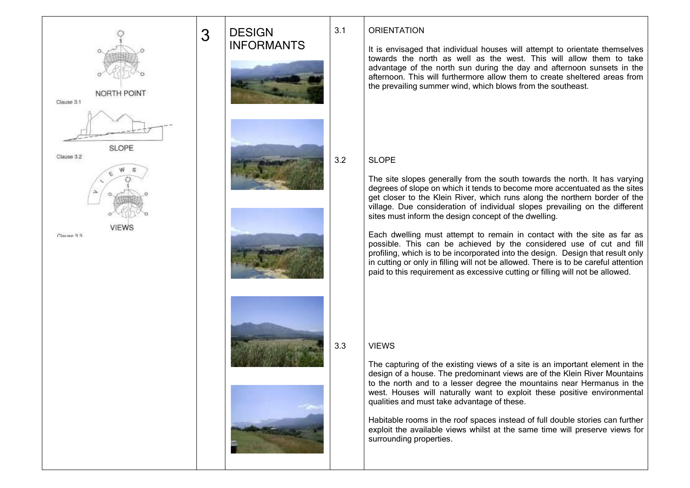

# 3 DESIGN INFORMANTS 3.1 3.2 3.3

# **ORIENTATION**

It is envisaged that individual houses will attempt to orientate themselves towards the north as well as the west. This will allow them to take advantage of the north sun during the day and afternoon sunsets in the afternoon. This will furthermore allow them to create sheltered areas from the prevailing summer wind, which blows from the southeast.

# SLOPE

The site slopes generally from the south towards the north. It has varying degrees of slope on which it tends to become more accentuated as the sites get closer to the Klein River, which runs along the northern border of the village. Due consideration of individual slopes prevailing on the different sites must inform the design concept of the dwelling.

Each dwelling must attempt to remain in contact with the site as far as possible. This can be achieved by the considered use of cut and fill profiling, which is to be incorporated into the design. Design that result only in cutting or only in filling will not be allowed. There is to be careful attention paid to this requirement as excessive cutting or filling will not be allowed.

# VIEWS

The capturing of the existing views of a site is an important element in the design of a house. The predominant views are of the Klein River Mountains to the north and to a lesser degree the mountains near Hermanus in the west. Houses will naturally want to exploit these positive environmental qualities and must take advantage of these.

Habitable rooms in the roof spaces instead of full double stories can further exploit the available views whilst at the same time will preserve views for surrounding properties.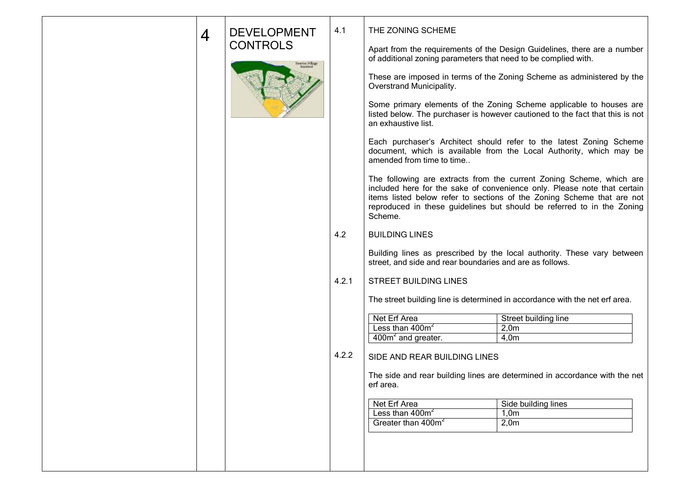| 4 | <b>DEVELOPMENT</b> | 4.1   | THE ZONING SCHEME                                              |                                                                                                                                                                                                                                                                                                      |
|---|--------------------|-------|----------------------------------------------------------------|------------------------------------------------------------------------------------------------------------------------------------------------------------------------------------------------------------------------------------------------------------------------------------------------------|
|   | <b>CONTROLS</b>    |       | of additional zoning parameters that need to be complied with. | Apart from the requirements of the Design Guidelines, there are a number                                                                                                                                                                                                                             |
|   |                    |       | Overstrand Municipality.                                       | These are imposed in terms of the Zoning Scheme as administered by the                                                                                                                                                                                                                               |
|   |                    |       | an exhaustive list.                                            | Some primary elements of the Zoning Scheme applicable to houses are<br>listed below. The purchaser is however cautioned to the fact that this is not                                                                                                                                                 |
|   |                    |       | amended from time to time                                      | Each purchaser's Architect should refer to the latest Zoning Scheme<br>document, which is available from the Local Authority, which may be                                                                                                                                                           |
|   |                    |       | Scheme.                                                        | The following are extracts from the current Zoning Scheme, which are<br>included here for the sake of convenience only. Please note that certain<br>items listed below refer to sections of the Zoning Scheme that are not<br>reproduced in these guidelines but should be referred to in the Zoning |
|   |                    | 4.2   | <b>BUILDING LINES</b>                                          |                                                                                                                                                                                                                                                                                                      |
|   |                    |       | street, and side and rear boundaries and are as follows.       | Building lines as prescribed by the local authority. These vary between                                                                                                                                                                                                                              |
|   |                    | 4.2.1 | <b>STREET BUILDING LINES</b>                                   |                                                                                                                                                                                                                                                                                                      |
|   |                    |       |                                                                | The street building line is determined in accordance with the net erf area.                                                                                                                                                                                                                          |
|   |                    |       | Net Erf Area                                                   | Street building line                                                                                                                                                                                                                                                                                 |
|   |                    |       | Less than 400m <sup>2</sup>                                    | 2,0m                                                                                                                                                                                                                                                                                                 |
|   |                    |       | $400m2$ and greater.                                           | 4,0m                                                                                                                                                                                                                                                                                                 |
|   |                    | 4.2.2 | SIDE AND REAR BUILDING LINES                                   |                                                                                                                                                                                                                                                                                                      |
|   |                    |       | ert area.                                                      | The side and rear building lines are determined in accordance with the net                                                                                                                                                                                                                           |
|   |                    |       | Net Erf Area                                                   | Side building lines                                                                                                                                                                                                                                                                                  |
|   |                    |       |                                                                |                                                                                                                                                                                                                                                                                                      |
|   |                    |       | Less than $400m^2$                                             | 1,0m                                                                                                                                                                                                                                                                                                 |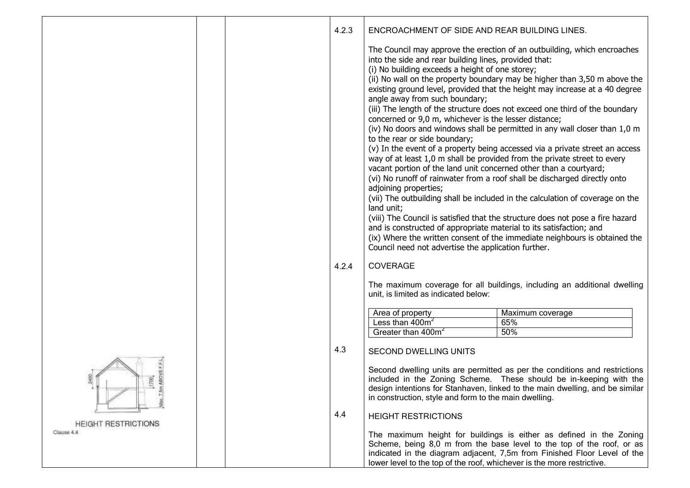|                                          | 4.2.3 | ENCROACHMENT OF SIDE AND REAR BUILDING LINES.                                                                                                                                                                                                                                                                                                                                                                                                                                  |                                                                                                                                                                                                                                                                                                                                                                                                                                                                                                                                                                                                                                                                                                                                                                                                                                                                                             |
|------------------------------------------|-------|--------------------------------------------------------------------------------------------------------------------------------------------------------------------------------------------------------------------------------------------------------------------------------------------------------------------------------------------------------------------------------------------------------------------------------------------------------------------------------|---------------------------------------------------------------------------------------------------------------------------------------------------------------------------------------------------------------------------------------------------------------------------------------------------------------------------------------------------------------------------------------------------------------------------------------------------------------------------------------------------------------------------------------------------------------------------------------------------------------------------------------------------------------------------------------------------------------------------------------------------------------------------------------------------------------------------------------------------------------------------------------------|
|                                          |       | into the side and rear building lines, provided that:<br>(i) No building exceeds a height of one storey;<br>angle away from such boundary;<br>concerned or 9,0 m, whichever is the lesser distance;<br>to the rear or side boundary;<br>vacant portion of the land unit concerned other than a courtyard;<br>adjoining properties;<br>land unit;<br>and is constructed of appropriate material to its satisfaction; and<br>Council need not advertise the application further. | The Council may approve the erection of an outbuilding, which encroaches<br>(ii) No wall on the property boundary may be higher than 3,50 m above the<br>existing ground level, provided that the height may increase at a 40 degree<br>(iii) The length of the structure does not exceed one third of the boundary<br>(iv) No doors and windows shall be permitted in any wall closer than 1,0 m<br>(v) In the event of a property being accessed via a private street an access<br>way of at least 1,0 m shall be provided from the private street to every<br>(vi) No runoff of rainwater from a roof shall be discharged directly onto<br>(vii) The outbuilding shall be included in the calculation of coverage on the<br>(viii) The Council is satisfied that the structure does not pose a fire hazard<br>(ix) Where the written consent of the immediate neighbours is obtained the |
|                                          | 4.2.4 | <b>COVERAGE</b><br>unit, is limited as indicated below:                                                                                                                                                                                                                                                                                                                                                                                                                        | The maximum coverage for all buildings, including an additional dwelling                                                                                                                                                                                                                                                                                                                                                                                                                                                                                                                                                                                                                                                                                                                                                                                                                    |
|                                          |       |                                                                                                                                                                                                                                                                                                                                                                                                                                                                                |                                                                                                                                                                                                                                                                                                                                                                                                                                                                                                                                                                                                                                                                                                                                                                                                                                                                                             |
|                                          |       | Area of property                                                                                                                                                                                                                                                                                                                                                                                                                                                               | Maximum coverage                                                                                                                                                                                                                                                                                                                                                                                                                                                                                                                                                                                                                                                                                                                                                                                                                                                                            |
|                                          |       | Less than 400m <sup>2</sup><br>Greater than 400m <sup>2</sup>                                                                                                                                                                                                                                                                                                                                                                                                                  | 65%<br>50%                                                                                                                                                                                                                                                                                                                                                                                                                                                                                                                                                                                                                                                                                                                                                                                                                                                                                  |
|                                          |       |                                                                                                                                                                                                                                                                                                                                                                                                                                                                                |                                                                                                                                                                                                                                                                                                                                                                                                                                                                                                                                                                                                                                                                                                                                                                                                                                                                                             |
|                                          | 4.3   | <b>SECOND DWELLING UNITS</b>                                                                                                                                                                                                                                                                                                                                                                                                                                                   |                                                                                                                                                                                                                                                                                                                                                                                                                                                                                                                                                                                                                                                                                                                                                                                                                                                                                             |
| 700                                      |       | in construction, style and form to the main dwelling.                                                                                                                                                                                                                                                                                                                                                                                                                          | Second dwelling units are permitted as per the conditions and restrictions<br>included in the Zoning Scheme. These should be in-keeping with the<br>design intentions for Stanhaven, linked to the main dwelling, and be similar                                                                                                                                                                                                                                                                                                                                                                                                                                                                                                                                                                                                                                                            |
|                                          | 4.4   | <b>HEIGHT RESTRICTIONS</b>                                                                                                                                                                                                                                                                                                                                                                                                                                                     |                                                                                                                                                                                                                                                                                                                                                                                                                                                                                                                                                                                                                                                                                                                                                                                                                                                                                             |
| <b>HEIGHT RESTRICTIONS</b><br>Clause 4.4 |       | lower level to the top of the roof, whichever is the more restrictive.                                                                                                                                                                                                                                                                                                                                                                                                         | The maximum height for buildings is either as defined in the Zoning<br>Scheme, being 8,0 m from the base level to the top of the roof, or as<br>indicated in the diagram adjacent, 7,5m from Finished Floor Level of the                                                                                                                                                                                                                                                                                                                                                                                                                                                                                                                                                                                                                                                                    |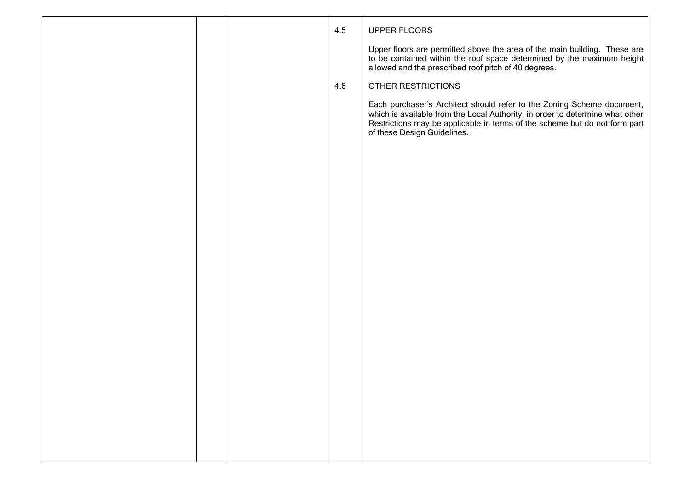|  | 4.5 | UPPER FLOORS                                                                                                                                                                                                                                                         |
|--|-----|----------------------------------------------------------------------------------------------------------------------------------------------------------------------------------------------------------------------------------------------------------------------|
|  |     | Upper floors are permitted above the area of the main building. These are<br>to be contained within the roof space determined by the maximum height<br>allowed and the prescribed roof pitch of 40 degrees.                                                          |
|  | 4.6 | OTHER RESTRICTIONS                                                                                                                                                                                                                                                   |
|  |     | Each purchaser's Architect should refer to the Zoning Scheme document,<br>which is available from the Local Authority, in order to determine what other<br>Restrictions may be applicable in terms of the scheme but do not form part<br>of these Design Guidelines. |
|  |     |                                                                                                                                                                                                                                                                      |
|  |     |                                                                                                                                                                                                                                                                      |
|  |     |                                                                                                                                                                                                                                                                      |
|  |     |                                                                                                                                                                                                                                                                      |
|  |     |                                                                                                                                                                                                                                                                      |
|  |     |                                                                                                                                                                                                                                                                      |
|  |     |                                                                                                                                                                                                                                                                      |
|  |     |                                                                                                                                                                                                                                                                      |
|  |     |                                                                                                                                                                                                                                                                      |
|  |     |                                                                                                                                                                                                                                                                      |
|  |     |                                                                                                                                                                                                                                                                      |
|  |     |                                                                                                                                                                                                                                                                      |
|  |     |                                                                                                                                                                                                                                                                      |
|  |     |                                                                                                                                                                                                                                                                      |
|  |     |                                                                                                                                                                                                                                                                      |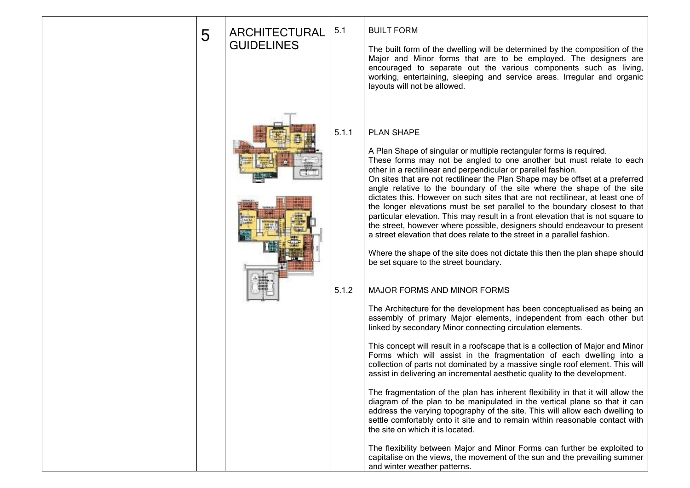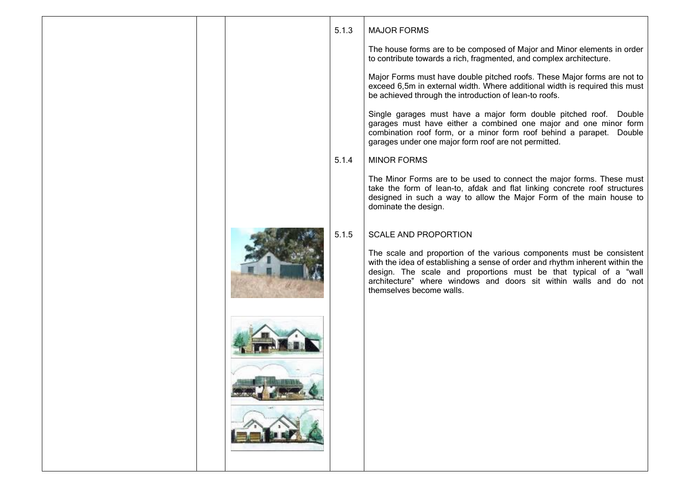| to contribute towards a rich, fragmented, and complex architecture.<br>be achieved through the introduction of lean-to roofs.<br>garages under one major form roof are not permitted.<br>5.1.4<br><b>MINOR FORMS</b><br>dominate the design.<br>5.1.5<br><b>SCALE AND PROPORTION</b><br>themselves become walls. |  | 5.1.3 | <b>MAJOR FORMS</b>                                                                                                                                                                                                                                                                               |
|------------------------------------------------------------------------------------------------------------------------------------------------------------------------------------------------------------------------------------------------------------------------------------------------------------------|--|-------|--------------------------------------------------------------------------------------------------------------------------------------------------------------------------------------------------------------------------------------------------------------------------------------------------|
|                                                                                                                                                                                                                                                                                                                  |  |       | The house forms are to be composed of Major and Minor elements in order                                                                                                                                                                                                                          |
|                                                                                                                                                                                                                                                                                                                  |  |       | Major Forms must have double pitched roofs. These Major forms are not to<br>exceed 6,5m in external width. Where additional width is required this must                                                                                                                                          |
|                                                                                                                                                                                                                                                                                                                  |  |       | Single garages must have a major form double pitched roof. Double<br>garages must have either a combined one major and one minor form<br>combination roof form, or a minor form roof behind a parapet. Double                                                                                    |
|                                                                                                                                                                                                                                                                                                                  |  |       |                                                                                                                                                                                                                                                                                                  |
|                                                                                                                                                                                                                                                                                                                  |  |       | The Minor Forms are to be used to connect the major forms. These must<br>take the form of lean-to, afdak and flat linking concrete roof structures<br>designed in such a way to allow the Major Form of the main house to                                                                        |
|                                                                                                                                                                                                                                                                                                                  |  |       |                                                                                                                                                                                                                                                                                                  |
|                                                                                                                                                                                                                                                                                                                  |  |       | The scale and proportion of the various components must be consistent<br>with the idea of establishing a sense of order and rhythm inherent within the<br>design. The scale and proportions must be that typical of a "wall<br>architecture" where windows and doors sit within walls and do not |
|                                                                                                                                                                                                                                                                                                                  |  |       |                                                                                                                                                                                                                                                                                                  |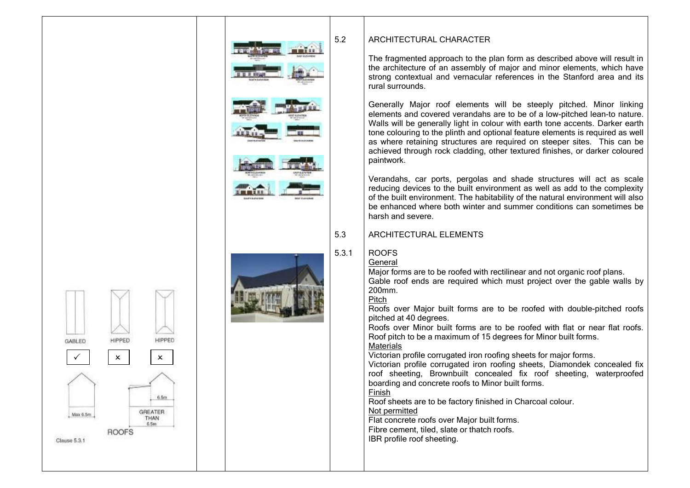



# ARCHITECTURAL CHARACTER

The fragmented approach to the plan form as described above will result in the architecture of an assembly of major and minor elements, which have strong contextual and vernacular references in the Stanford area and its rural surrounds .

Generally Major roof elements will be steeply pitched. Minor linking elements and covered verandahs are to be of a low -pitched lean -to nature. Walls will be generally light in colour with earth tone accents. Darker earth tone colouring to the plinth and optional feature elements is required as well as where retaining structures are required on steeper sites. This can be achieved through rock cladding, other textured finishes, or darker coloured paintwork.

Verandahs, car ports, pergolas and shade structures will act as scale reducing devices to the built environment as well as add to the complexity of the built environment. The habitability of the natural environment will also be enhanced where both winter and summer conditions can sometimes be harsh and severe.

# ARCHITECTURAL ELEMENTS

Major forms are to be roofed with rectilinear and not organic roof plans. Gable roof ends are required which must project over the gable walls by

Roofs over Major built forms are to be roofed with double -pitched roofs pitched at 40 degree s .

Roofs over Minor built forms are to be roofed with flat or near flat roofs. Roof pitch to be a maximum of 15 degrees for Minor built form s .

Victorian profile corrugated iron roofing sheets for major forms.

Victorian profile corrugated iron roofing sheets, Diamondek concealed fix roof sheeting, Brownbuilt concealed fix roof sheeting, waterproofed boarding and concrete roofs to Minor built forms.

Roof sheets are to be factory finished in Charcoal colour.

### Not permitted

Flat concrete roofs over Major built forms. Fibre cement, tiled, slate or thatch roofs.

IBR profile roof sheeting.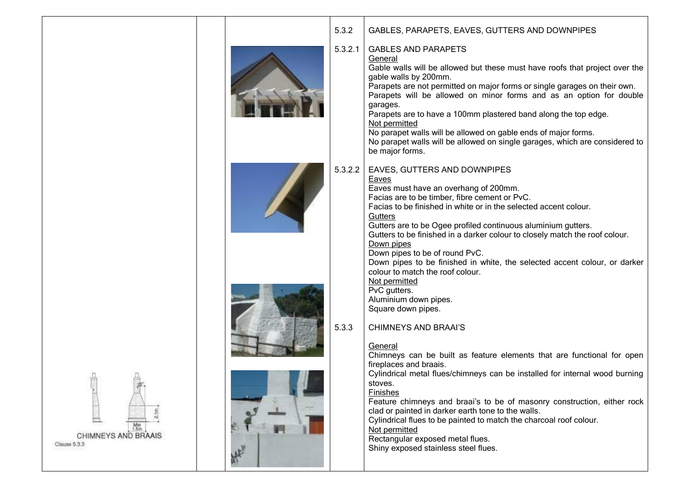|                                     | 5.3.2   | GABLES, PARAPETS, EAVES, GUTTERS AND DOWNPIPES                                                                                                                                                                                                                                                                                                                                                                                                                                                                                                                                                                  |
|-------------------------------------|---------|-----------------------------------------------------------------------------------------------------------------------------------------------------------------------------------------------------------------------------------------------------------------------------------------------------------------------------------------------------------------------------------------------------------------------------------------------------------------------------------------------------------------------------------------------------------------------------------------------------------------|
|                                     | 5.3.2.1 | <b>GABLES AND PARAPETS</b><br>General<br>Gable walls will be allowed but these must have roofs that project over the<br>gable walls by 200mm.<br>Parapets are not permitted on major forms or single garages on their own.<br>Parapets will be allowed on minor forms and as an option for double<br>garages.<br>Parapets are to have a 100mm plastered band along the top edge.<br>Not permitted<br>No parapet walls will be allowed on gable ends of major forms.<br>No parapet walls will be allowed on single garages, which are considered to<br>be major forms.                                           |
|                                     | 5.3.2.2 | EAVES, GUTTERS AND DOWNPIPES<br>Eaves<br>Eaves must have an overhang of 200mm.<br>Facias are to be timber, fibre cement or PvC.<br>Facias to be finished in white or in the selected accent colour.<br>Gutters<br>Gutters are to be Ogee profiled continuous aluminium gutters.<br>Gutters to be finished in a darker colour to closely match the roof colour.<br>Down pipes<br>Down pipes to be of round PvC.<br>Down pipes to be finished in white, the selected accent colour, or darker<br>colour to match the roof colour.<br>Not permitted<br>PvC gutters.<br>Aluminium down pipes.<br>Square down pipes. |
|                                     | 5.3.3   | <b>CHIMNEYS AND BRAAI'S</b><br>General<br>Chimneys can be built as feature elements that are functional for open<br>fireplaces and braais.                                                                                                                                                                                                                                                                                                                                                                                                                                                                      |
|                                     |         | Cylindrical metal flues/chimneys can be installed for internal wood burning<br>stoves.<br>Finishes<br>Feature chimneys and braai's to be of masonry construction, either rock<br>clad or painted in darker earth tone to the walls.                                                                                                                                                                                                                                                                                                                                                                             |
| CHIMNEYS AND BRAAIS<br>Clause 5.3.3 |         | Cylindrical flues to be painted to match the charcoal roof colour.<br>Not permitted<br>Rectangular exposed metal flues.<br>Shiny exposed stainless steel flues.                                                                                                                                                                                                                                                                                                                                                                                                                                                 |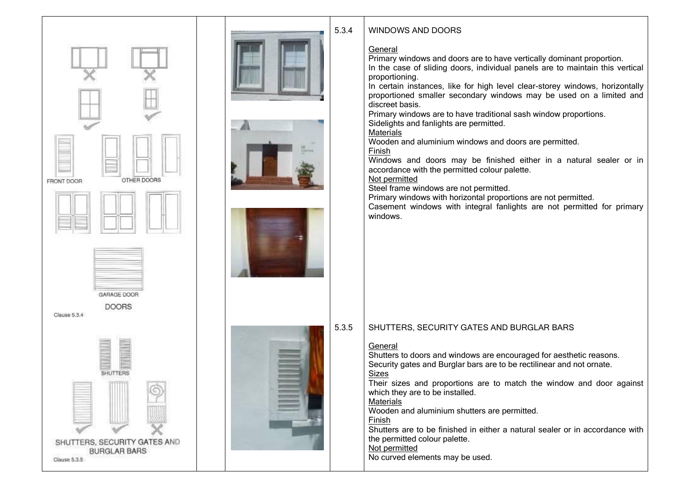







#### 5.3.4 WINDOWS AND DOORS

# General

Primary windows and doors are to have vertically dominant proportion. In the case of sliding doors, individual panels are to maintain this vertical proportioning.

In certain instances, like for high level clear-storey windows, horizontally proportioned smaller secondary windows may be used on a limited and discreet basis.

Primary windows are to have traditional sash window proportions.

Sidelights and fanlights are permitted.

**Materials** 

Wooden and aluminium windows and doors are permitted.

Finish

Windows and doors may be finished either in a natural sealer or in accordance with the permitted colour palette.

Not permitted

Steel frame windows are not permitted.

Primary windows with horizontal proportions are not permitted.

Casement windows with integral fanlights are not permitted for primary windows.

#### 5.3.5 SHUTTERS, SECURITY GATES AND BURGLAR BARS

# General

Shutters to doors and windows are encouraged for aesthetic reasons. Security gates and Burglar bars are to be rectilinear and not ornate. Sizes

Their sizes and proportions are to match the window and door against which they are to be installed.

# **Materials**

Wooden and aluminium shutters are permitted.

# Finish

Shutters are to be finished in either a natural sealer or in accordance with the permitted colour palette.

Not permitted

No curved elements may be used.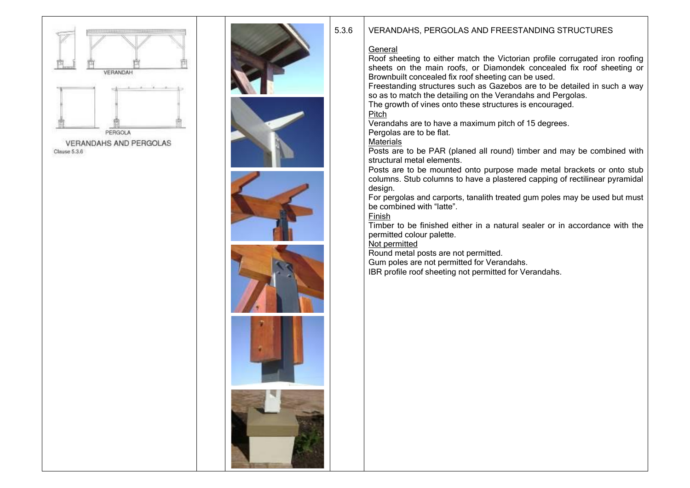













# 5.3.6 VERANDAHS, PERGOLAS AND FREESTANDING STRUCTURES

## **General**

Roof sheeting to either match the Victorian profile corrugated iron roofing sheets on the main roofs, or Diamondek concealed fix roof sheeting or Brownbuilt concealed fix roof sheeting can be used.

Freestanding structures such as Gazebos are to be detailed in such a way so as to match the detailing on the Verandahs and Pergolas.

The growth of vines onto these structures is encouraged.

**Pitch** 

Verandahs are to have a maximum pitch of 15 degrees.

Pergolas are to be flat.

**Materials** 

Posts are to be PAR (planed all round) timber and may be combined with structural metal elements.

Posts are to be mounted onto purpose made metal brackets or onto stub columns. Stub columns to have a plastered capping of rectilinear pyramidal design.

For pergolas and carports, tanalith treated gum poles may be used but must be combined with "latte".

Finish

Timber to be finished either in a natural sealer or in accordance with the permitted colour palette.

Not permitted

Round metal posts are not permitted.

Gum poles are not permitted for Verandahs.

IBR profile roof sheeting not permitted for Verandahs.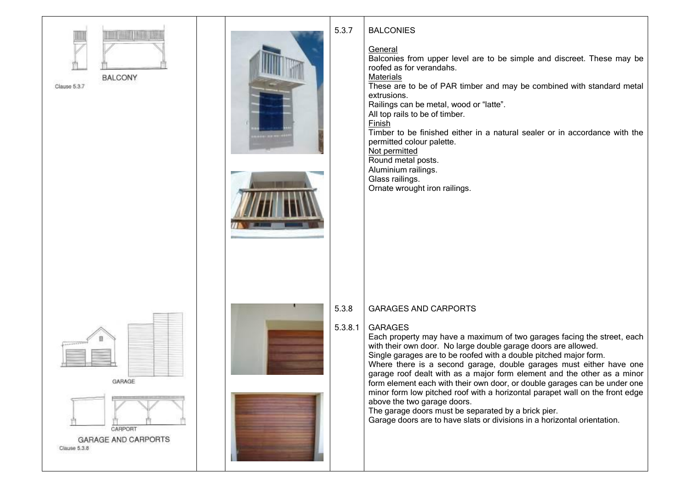









#### 5.3.8.1 GARAGES

Each property may have a maximum of two garages facing the street, each with their own door. No large double garage doors are allowed. Single garages are to be roofed with a double pitched major form. Where there is a second garage, double garages must either have one garage roof dealt with as a major form element and the other as a minor form element each with their own door, or double garages can be under one minor form low pitched roof with a horizontal parapet wall on the front edge above the two garage doors.

The garage doors must be separated by a brick pier.

Garage doors are to have slats or divisions in a horizontal orientation.

# **BALCONIES**

# **General**

Balconies from upper level are to be simple and discreet. These may be roofed as for verandahs.

# **Materials**

These are to be of PAR timber and may be combined with standard metal extrusions.

Railings can be metal, wood or "latte".

All top rails to be of timber.

Finish

Timber to be finished either in a natural sealer or in accordance with the permitted colour palette.

Not permitted Round metal posts.

Aluminium railings. Glass railings.

Ornate wrought iron railings.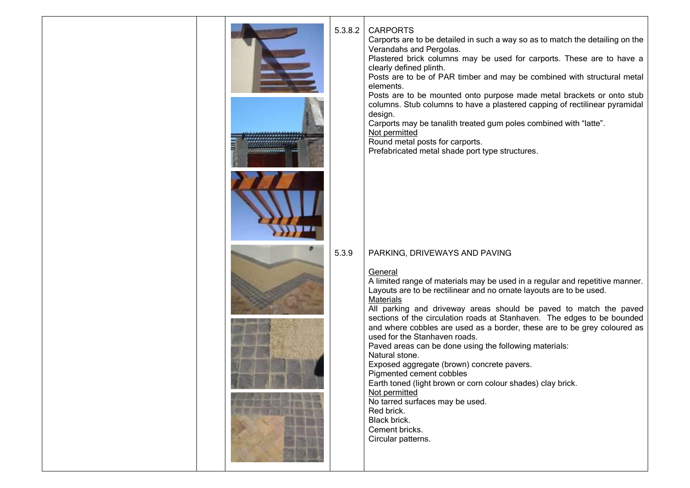

#### 5.3.8.2 CARPORTS

Carports are to be detailed in such a way so as to match the detailing on the Verandahs and Pergolas.

Plastered brick columns may be used for carports. These are to have a clearly defined plinth.

Posts are to be of PAR timber and may be combined with structural metal elements.

Posts are to be mounted onto purpose made metal brackets or onto stub columns. Stub columns to have a plastered capping of rectilinear pyramidal design.

Carports may be tanalith treated gum poles combined with "latte".

Not permitted

Round metal posts for carports.

Prefabricated metal shade port type structures.

#### 5.3.9 PARKING, DRIVEWAYS AND PAVING

# General

A limited range of materials may be used in a regular and repetitive manner. Layouts are to be rectilinear and no ornate layouts are to be used. **Materials** 

All parking and driveway areas should be paved to match the paved sections of the circulation roads at Stanhaven. The edges to be bounded and where cobbles are used as a border, these are to be grey coloured as used for the Stanhaven roads.

Paved areas can be done using the following materials: Natural stone.

Exposed aggregate (brown) concrete pavers.

Pigmented cement cobbles

Earth toned (light brown or corn colour shades) clay brick.

Not permitted

No tarred surfaces may be used.

Red brick. Black brick.

Cement bricks.

Circular patterns.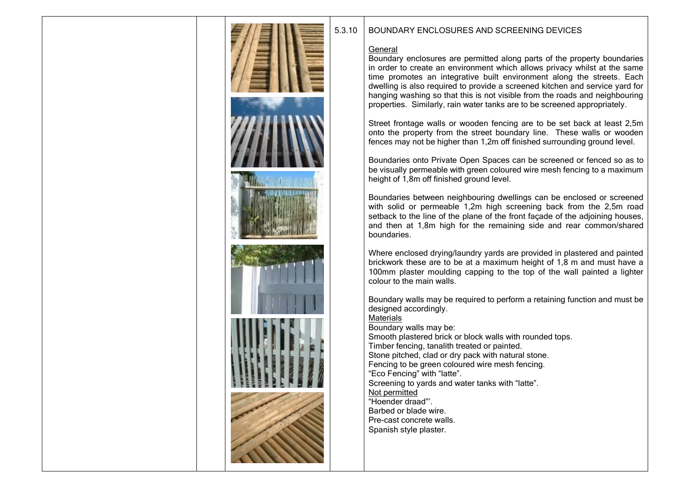

# 5.3.10 BOUNDARY ENCLOSURES AND SCREENING DEVICES

# General

Boundary enclosures are permitted along parts of the property boundaries in order to create an environment which allows privacy whilst at the same time promotes an integrative built environment along the streets. Each dwelling is also required to provide a screened kitchen and service yard for hanging washing so that this is not visible from the roads and neighbouring properties. Similarly, rain water tanks are to be screened appropriately.

Street frontage walls or wooden fencing are to be set back at least 2,5m onto the property from the street boundary line. These walls or wooden fences may not be higher than 1,2m off finished surrounding ground level.

Boundaries onto Private Open Spaces can be screened or fenced so as to be visually permeable with green coloured wire mesh fencing to a maximum height of 1,8m off finished ground level.

Boundaries between neighbouring dwellings can be enclosed or screened with solid or permeable 1.2m high screening back from the 2.5m road setback to the line of the plane of the front facade of the adjoining houses, and then at 1,8m high for the remaining side and rear common/shared boundaries.

Where enclosed drying/laundry yards are provided in plastered and painted brickwork these are to be at a maximum height of 1,8 m and must have a 100mm plaster moulding capping to the top of the wall painted a lighter colour to the main walls.

Boundary walls may be required to perform a retaining function and must be designed accordingly.

**Materials** Boundary walls may be: Smooth plastered brick or block walls with rounded tops. Timber fencing, tanalith treated or painted. Stone pitched, clad or dry pack with natural stone. Fencing to be green coloured wire mesh fencing. "Eco Fencing" with "latte". Screening to yards and water tanks with "latte". Not permitted "Hoender draad"'. Barbed or blade wire. Pre-cast concrete walls. Spanish style plaster.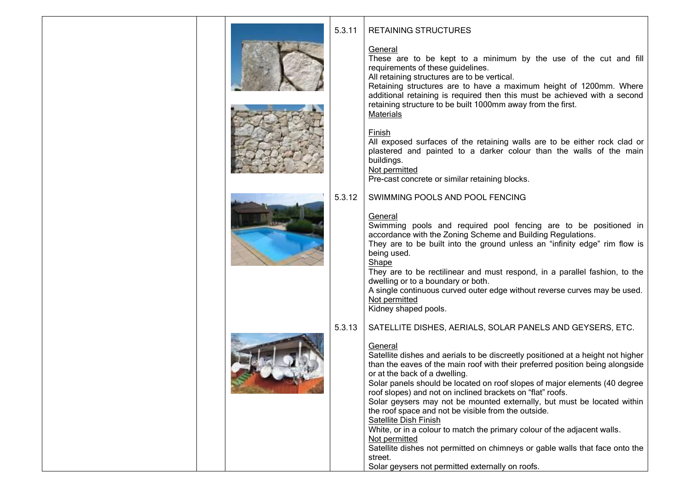| 5.3.11 | <b>RETAINING STRUCTURES</b>                                                                                                                                                                                                                                                                                                                                                                                                                                                                                                                                                                                                                                                                                 |  |
|--------|-------------------------------------------------------------------------------------------------------------------------------------------------------------------------------------------------------------------------------------------------------------------------------------------------------------------------------------------------------------------------------------------------------------------------------------------------------------------------------------------------------------------------------------------------------------------------------------------------------------------------------------------------------------------------------------------------------------|--|
|        | General<br>These are to be kept to a minimum by the use of the cut and fill<br>requirements of these guidelines.<br>All retaining structures are to be vertical.<br>Retaining structures are to have a maximum height of 1200mm. Where<br>additional retaining is required then this must be achieved with a second<br>retaining structure to be built 1000mm away from the first.<br><b>Materials</b>                                                                                                                                                                                                                                                                                                      |  |
|        | <b>Finish</b><br>All exposed surfaces of the retaining walls are to be either rock clad or<br>plastered and painted to a darker colour than the walls of the main<br>buildings.<br>Not permitted<br>Pre-cast concrete or similar retaining blocks.                                                                                                                                                                                                                                                                                                                                                                                                                                                          |  |
| 5.3.12 | SWIMMING POOLS AND POOL FENCING                                                                                                                                                                                                                                                                                                                                                                                                                                                                                                                                                                                                                                                                             |  |
|        | General<br>Swimming pools and required pool fencing are to be positioned in<br>accordance with the Zoning Scheme and Building Regulations.<br>They are to be built into the ground unless an "infinity edge" rim flow is<br>being used.<br>Shape<br>They are to be rectilinear and must respond, in a parallel fashion, to the<br>dwelling or to a boundary or both.<br>A single continuous curved outer edge without reverse curves may be used.<br>Not permitted<br>Kidney shaped pools.                                                                                                                                                                                                                  |  |
| 5.3.13 | SATELLITE DISHES, AERIALS, SOLAR PANELS AND GEYSERS, ETC.                                                                                                                                                                                                                                                                                                                                                                                                                                                                                                                                                                                                                                                   |  |
|        | General<br>Satellite dishes and aerials to be discreetly positioned at a height not higher<br>than the eaves of the main roof with their preferred position being alongside<br>or at the back of a dwelling.<br>Solar panels should be located on roof slopes of major elements (40 degree<br>roof slopes) and not on inclined brackets on "flat" roofs.<br>Solar geysers may not be mounted externally, but must be located within<br>the roof space and not be visible from the outside.<br>Satellite Dish Finish<br>White, or in a colour to match the primary colour of the adjacent walls.<br>Not permitted<br>Satellite dishes not permitted on chimneys or gable walls that face onto the<br>street. |  |

Solar geysers not permitted externally on roofs.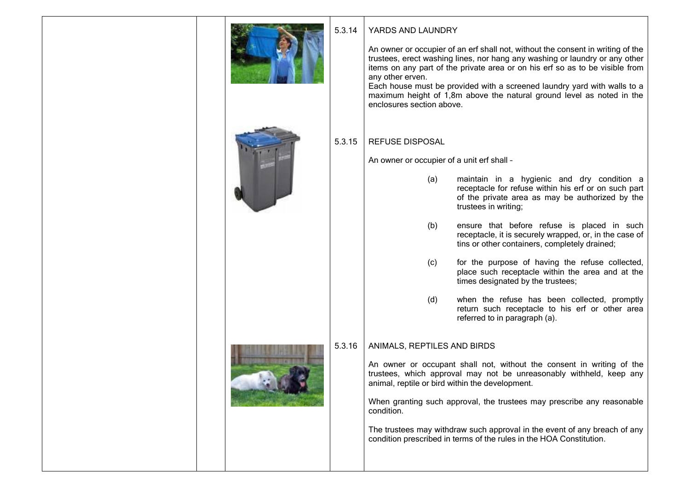| 5.3.14<br>YARDS AND LAUNDRY<br>An owner or occupier of an erf shall not, without the consent in writing of the<br>trustees, erect washing lines, nor hang any washing or laundry or any other<br>items on any part of the private area or on his erf so as to be visible from<br>any other erven.<br>Each house must be provided with a screened laundry yard with walls to a<br>maximum height of 1,8m above the natural ground level as noted in the<br>enclosures section above.<br>5.3.15<br><b>REFUSE DISPOSAL</b><br>An owner or occupier of a unit erf shall -<br>(a)<br>maintain in a hygienic and dry condition a<br>receptacle for refuse within his erf or on such part<br>of the private area as may be authorized by the<br>trustees in writing;<br>(b)<br>ensure that before refuse is placed in such<br>receptacle, it is securely wrapped, or, in the case of<br>tins or other containers, completely drained;<br>for the purpose of having the refuse collected,<br>(c)<br>place such receptacle within the area and at the<br>times designated by the trustees;<br>when the refuse has been collected, promptly<br>(d)<br>return such receptacle to his erf or other area<br>referred to in paragraph (a).<br>5.3.16<br>ANIMALS, REPTILES AND BIRDS<br>An owner or occupant shall not, without the consent in writing of the<br>trustees, which approval may not be unreasonably withheld, keep any<br>animal, reptile or bird within the development.<br>When granting such approval, the trustees may prescribe any reasonable<br>condition.<br>The trustees may withdraw such approval in the event of any breach of any<br>condition prescribed in terms of the rules in the HOA Constitution. |  |  |
|----------------------------------------------------------------------------------------------------------------------------------------------------------------------------------------------------------------------------------------------------------------------------------------------------------------------------------------------------------------------------------------------------------------------------------------------------------------------------------------------------------------------------------------------------------------------------------------------------------------------------------------------------------------------------------------------------------------------------------------------------------------------------------------------------------------------------------------------------------------------------------------------------------------------------------------------------------------------------------------------------------------------------------------------------------------------------------------------------------------------------------------------------------------------------------------------------------------------------------------------------------------------------------------------------------------------------------------------------------------------------------------------------------------------------------------------------------------------------------------------------------------------------------------------------------------------------------------------------------------------------------------------------------------------------------------------------------------------|--|--|
|                                                                                                                                                                                                                                                                                                                                                                                                                                                                                                                                                                                                                                                                                                                                                                                                                                                                                                                                                                                                                                                                                                                                                                                                                                                                                                                                                                                                                                                                                                                                                                                                                                                                                                                      |  |  |
|                                                                                                                                                                                                                                                                                                                                                                                                                                                                                                                                                                                                                                                                                                                                                                                                                                                                                                                                                                                                                                                                                                                                                                                                                                                                                                                                                                                                                                                                                                                                                                                                                                                                                                                      |  |  |
|                                                                                                                                                                                                                                                                                                                                                                                                                                                                                                                                                                                                                                                                                                                                                                                                                                                                                                                                                                                                                                                                                                                                                                                                                                                                                                                                                                                                                                                                                                                                                                                                                                                                                                                      |  |  |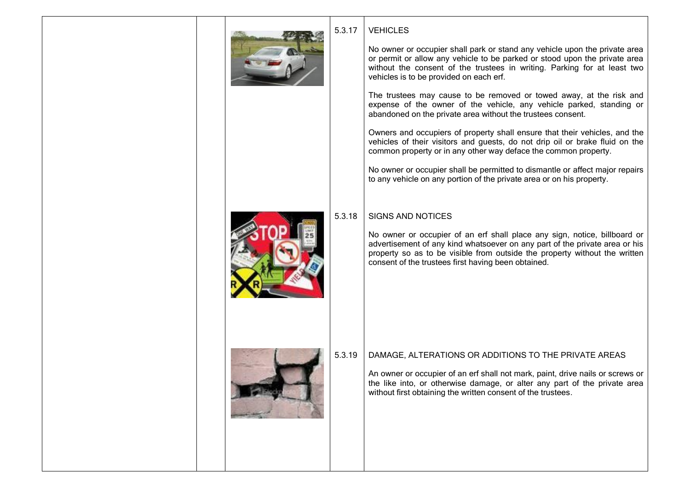

# **VEHICLES**

No owner or occupier shall park or stand any vehicle upon the private area or permit or allow any vehicle to be parked or stood upon the private area without the consent of the trustees in writing. Parking for at least two vehicles is to be provided on each erf.

The trustees may cause to be removed or towed away, at the risk and expense of the owner of the vehicle, any vehicle parked, standing or abandoned on the private area without the trustees consent.

Owners and occupiers of property shall ensure that their vehicles, and the vehicles of their visitors and guests, do not drip oil or brake fluid on the common property or in any other way deface the common property.

No owner or occupier shall be permitted to dismantle or affect major repairs to any vehicle on any portion of the private area or on his property.

# SIGNS AND NOTICES

No owner or occupier of an erf shall place any sign, notice, billboard or advertisement of any kind whatsoever on any part of the private area or his property so as to be visible from outside the property without the written consent of the trustees first having been obtained.

# DAMAGE, ALTERATIONS OR ADDITIONS TO THE PRIVATE AREAS

An owner or occupier of an erf shall not mark, paint, drive nails or screws or the like into, or otherwise damage, or alter any part of the private area without first obtaining the written consent of the trustees.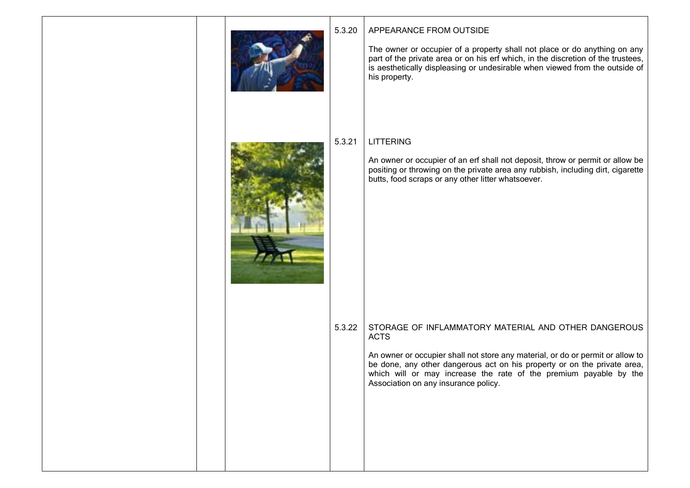|  | 5.3.20 | APPEARANCE FROM OUTSIDE<br>The owner or occupier of a property shall not place or do anything on any<br>part of the private area or on his erf which, in the discretion of the trustees,<br>is aesthetically displeasing or undesirable when viewed from the outside of<br>his property.                                                       |
|--|--------|------------------------------------------------------------------------------------------------------------------------------------------------------------------------------------------------------------------------------------------------------------------------------------------------------------------------------------------------|
|  | 5.3.21 | <b>LITTERING</b><br>An owner or occupier of an erf shall not deposit, throw or permit or allow be<br>positing or throwing on the private area any rubbish, including dirt, cigarette<br>butts, food scraps or any other litter whatsoever.                                                                                                     |
|  | 5.3.22 | STORAGE OF INFLAMMATORY MATERIAL AND OTHER DANGEROUS<br><b>ACTS</b><br>An owner or occupier shall not store any material, or do or permit or allow to<br>be done, any other dangerous act on his property or on the private area,<br>which will or may increase the rate of the premium payable by the<br>Association on any insurance policy. |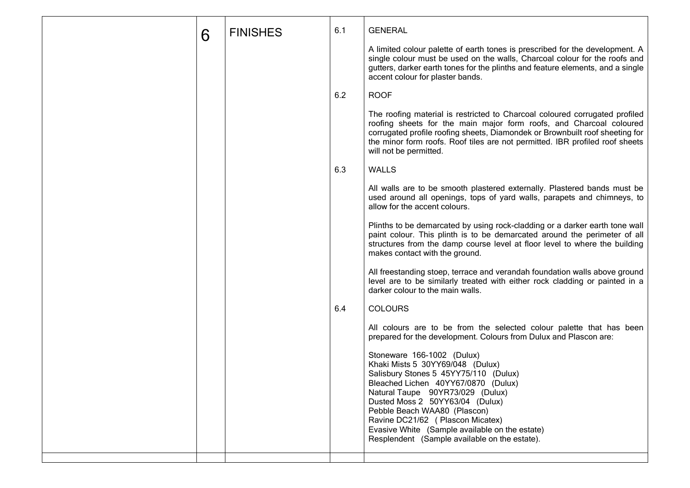| 6 | <b>FINISHES</b> | 6.1 | <b>GENERAL</b>                                                                                                                                                                                                                                                                                                                                                                                |
|---|-----------------|-----|-----------------------------------------------------------------------------------------------------------------------------------------------------------------------------------------------------------------------------------------------------------------------------------------------------------------------------------------------------------------------------------------------|
|   |                 |     | A limited colour palette of earth tones is prescribed for the development. A<br>single colour must be used on the walls, Charcoal colour for the roofs and<br>gutters, darker earth tones for the plinths and feature elements, and a single<br>accent colour for plaster bands.                                                                                                              |
|   |                 | 6.2 | <b>ROOF</b>                                                                                                                                                                                                                                                                                                                                                                                   |
|   |                 |     | The roofing material is restricted to Charcoal coloured corrugated profiled<br>roofing sheets for the main major form roofs, and Charcoal coloured<br>corrugated profile roofing sheets, Diamondek or Brownbuilt roof sheeting for<br>the minor form roofs. Roof tiles are not permitted. IBR profiled roof sheets<br>will not be permitted.                                                  |
|   |                 | 6.3 | <b>WALLS</b>                                                                                                                                                                                                                                                                                                                                                                                  |
|   |                 |     | All walls are to be smooth plastered externally. Plastered bands must be<br>used around all openings, tops of yard walls, parapets and chimneys, to<br>allow for the accent colours.                                                                                                                                                                                                          |
|   |                 |     | Plinths to be demarcated by using rock-cladding or a darker earth tone wall<br>paint colour. This plinth is to be demarcated around the perimeter of all<br>structures from the damp course level at floor level to where the building<br>makes contact with the ground.                                                                                                                      |
|   |                 |     | All freestanding stoep, terrace and verandah foundation walls above ground<br>level are to be similarly treated with either rock cladding or painted in a<br>darker colour to the main walls.                                                                                                                                                                                                 |
|   |                 | 6.4 | <b>COLOURS</b>                                                                                                                                                                                                                                                                                                                                                                                |
|   |                 |     | All colours are to be from the selected colour palette that has been<br>prepared for the development. Colours from Dulux and Plascon are:                                                                                                                                                                                                                                                     |
|   |                 |     | Stoneware 166-1002 (Dulux)<br>Khaki Mists 5 30YY69/048 (Dulux)<br>Salisbury Stones 5 45YY75/110 (Dulux)<br>Bleached Lichen 40YY67/0870 (Dulux)<br>Natural Taupe 90YR73/029 (Dulux)<br>Dusted Moss 2 50YY63/04 (Dulux)<br>Pebble Beach WAA80 (Plascon)<br>Ravine DC21/62 ( Plascon Micatex)<br>Evasive White (Sample available on the estate)<br>Resplendent (Sample available on the estate). |
|   |                 |     |                                                                                                                                                                                                                                                                                                                                                                                               |